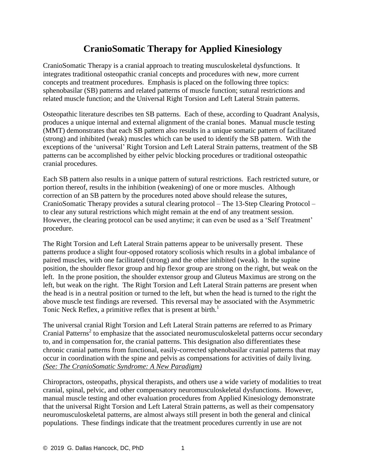## **CranioSomatic Therapy for Applied Kinesiology**

CranioSomatic Therapy is a cranial approach to treating musculoskeletal dysfunctions. It integrates traditional osteopathic cranial concepts and procedures with new, more current concepts and treatment procedures. Emphasis is placed on the following three topics: sphenobasilar (SB) patterns and related patterns of muscle function; sutural restrictions and related muscle function; and the Universal Right Torsion and Left Lateral Strain patterns.

Osteopathic literature describes ten SB patterns. Each of these, according to Quadrant Analysis, produces a unique internal and external alignment of the cranial bones. Manual muscle testing (MMT) demonstrates that each SB pattern also results in a unique somatic pattern of facilitated (strong) and inhibited (weak) muscles which can be used to identify the SB pattern. With the exceptions of the 'universal' Right Torsion and Left Lateral Strain patterns, treatment of the SB patterns can be accomplished by either pelvic blocking procedures or traditional osteopathic cranial procedures.

Each SB pattern also results in a unique pattern of sutural restrictions. Each restricted suture, or portion thereof, results in the inhibition (weakening) of one or more muscles. Although correction of an SB pattern by the procedures noted above should release the sutures, CranioSomatic Therapy provides a sutural clearing protocol – The 13-Step Clearing Protocol – to clear any sutural restrictions which might remain at the end of any treatment session. However, the clearing protocol can be used anytime; it can even be used as a 'Self Treatment' procedure.

The Right Torsion and Left Lateral Strain patterns appear to be universally present. These patterns produce a slight four-opposed rotatory scoliosis which results in a global imbalance of paired muscles, with one facilitated (strong) and the other inhibited (weak). In the supine position, the shoulder flexor group and hip flexor group are strong on the right, but weak on the left. In the prone position, the shoulder extensor group and Gluteus Maximus are strong on the left, but weak on the right. The Right Torsion and Left Lateral Strain patterns are present when the head is in a neutral position or turned to the left, but when the head is turned to the right the above muscle test findings are reversed. This reversal may be associated with the Asymmetric Tonic Neck Reflex, a primitive reflex that is present at birth.<sup>1</sup>

The universal cranial Right Torsion and Left Lateral Strain patterns are referred to as Primary Cranial Patterns<sup>2</sup> to emphasize that the associated neuromusculoskeletal patterns occur secondary to, and in compensation for, the cranial patterns. This designation also differentiates these chronic cranial patterns from functional, easily-corrected sphenobasilar cranial patterns that may occur in coordination with the spine and pelvis as compensations for activities of daily living. *(See: The CranioSomatic Syndrome: A New Paradigm)*

Chiropractors, osteopaths, physical therapists, and others use a wide variety of modalities to treat cranial, spinal, pelvic, and other compensatory neuromusculoskeletal dysfunctions. However, manual muscle testing and other evaluation procedures from Applied Kinesiology demonstrate that the universal Right Torsion and Left Lateral Strain patterns, as well as their compensatory neuromusculoskeletal patterns, are almost always still present in both the general and clinical populations. These findings indicate that the treatment procedures currently in use are not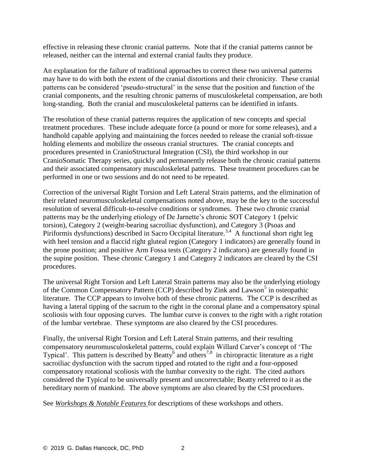effective in releasing these chronic cranial patterns. Note that if the cranial patterns cannot be released, neither can the internal and external cranial faults they produce.

An explanation for the failure of traditional approaches to correct these two universal patterns may have to do with both the extent of the cranial distortions and their chronicity. These cranial patterns can be considered 'pseudo-structural' in the sense that the position and function of the cranial components, and the resulting chronic patterns of musculoskeletal compensation, are both long-standing. Both the cranial and musculoskeletal patterns can be identified in infants.

The resolution of these cranial patterns requires the application of new concepts and special treatment procedures. These include adequate force (a pound or more for some releases), and a handhold capable applying and maintaining the forces needed to release the cranial soft-tissue holding elements and mobilize the osseous cranial structures. The cranial concepts and procedures presented in CranioStructural Integration (CSI), the third workshop in our CranioSomatic Therapy series, quickly and permanently release both the chronic cranial patterns and their associated compensatory musculoskeletal patterns. These treatment procedures can be performed in one or two sessions and do not need to be repeated.

Correction of the universal Right Torsion and Left Lateral Strain patterns, and the elimination of their related neuromusculoskeletal compensations noted above, may be the key to the successful resolution of several difficult-to-resolve conditions or syndromes. These two chronic cranial patterns may be the underlying etiology of De Jarnette's chronic SOT Category 1 (pelvic torsion), Category 2 (weight-bearing sacroiliac dysfunction), and Category 3 (Psoas and Piriformis dysfunctions) described in Sacro Occipital literature.<sup>3,4</sup> A functional short right leg with heel tension and a flaccid right gluteal region (Category 1 indicators) are generally found in the prone position; and positive Arm Fossa tests (Category 2 indicators) are generally found in the supine position. These chronic Category 1 and Category 2 indicators are cleared by the CSI procedures.

The universal Right Torsion and Left Lateral Strain patterns may also be the underlying etiology of the Common Compensatory Pattern (CCP) described by Zink and Lawson<sup>5</sup> in osteopathic literature. The CCP appears to involve both of these chronic patterns. The CCP is described as having a lateral tipping of the sacrum to the right in the coronal plane and a compensatory spinal scoliosis with four opposing curves. The lumbar curve is convex to the right with a right rotation of the lumbar vertebrae. These symptoms are also cleared by the CSI procedures.

Finally, the universal Right Torsion and Left Lateral Strain patterns, and their resulting compensatory neuromusculoskeletal patterns, could explain Willard Carver's concept of 'The Typical'. This pattern is described by Beatty<sup>6</sup> and others<sup>7,8</sup> in chiropractic literature as a right sacroiliac dysfunction with the sacrum tipped and rotated to the right and a four-opposed compensatory rotational scoliosis with the lumbar convexity to the right. The cited authors considered the Typical to be universally present and uncorrectable; Beatty referred to it as the hereditary norm of mankind. The above symptoms are also cleared by the CSI procedures.

See *Workshops & Notable Features* [for descriptions of these workshops and others.](https://www.thecsiinstitute.com/workshops-classes)